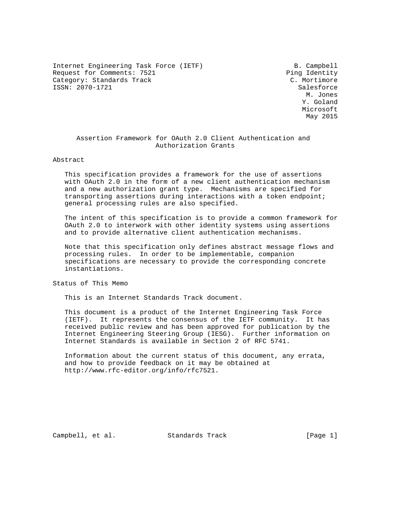Internet Engineering Task Force (IETF) B. Campbell Request for Comments: 7521 Ping Identity Category: Standards Track C. Mortimore ISSN: 2070-1721 Salesforce

 M. Jones Y. Goland Microsoft May 2015

# Assertion Framework for OAuth 2.0 Client Authentication and Authorization Grants

### Abstract

 This specification provides a framework for the use of assertions with OAuth 2.0 in the form of a new client authentication mechanism and a new authorization grant type. Mechanisms are specified for transporting assertions during interactions with a token endpoint; general processing rules are also specified.

 The intent of this specification is to provide a common framework for OAuth 2.0 to interwork with other identity systems using assertions and to provide alternative client authentication mechanisms.

 Note that this specification only defines abstract message flows and processing rules. In order to be implementable, companion specifications are necessary to provide the corresponding concrete instantiations.

Status of This Memo

This is an Internet Standards Track document.

 This document is a product of the Internet Engineering Task Force (IETF). It represents the consensus of the IETF community. It has received public review and has been approved for publication by the Internet Engineering Steering Group (IESG). Further information on Internet Standards is available in Section 2 of RFC 5741.

 Information about the current status of this document, any errata, and how to provide feedback on it may be obtained at http://www.rfc-editor.org/info/rfc7521.

Campbell, et al. Standards Track [Page 1]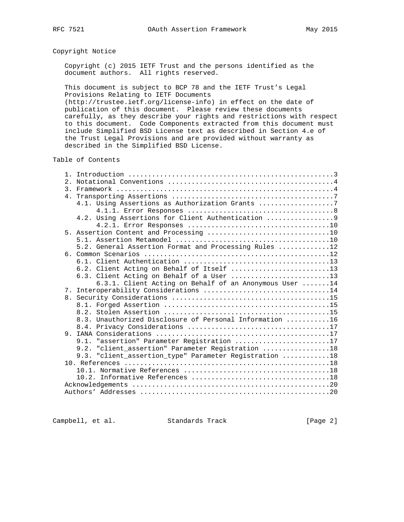# Copyright Notice

 Copyright (c) 2015 IETF Trust and the persons identified as the document authors. All rights reserved.

 This document is subject to BCP 78 and the IETF Trust's Legal Provisions Relating to IETF Documents (http://trustee.ietf.org/license-info) in effect on the date of

 publication of this document. Please review these documents carefully, as they describe your rights and restrictions with respect to this document. Code Components extracted from this document must include Simplified BSD License text as described in Section 4.e of the Trust Legal Provisions and are provided without warranty as described in the Simplified BSD License.

## Table of Contents

|  | 4.1. Using Assertions as Authorization Grants 7         |
|--|---------------------------------------------------------|
|  |                                                         |
|  | 4.2. Using Assertions for Client Authentication 9       |
|  |                                                         |
|  |                                                         |
|  |                                                         |
|  | 5.2. General Assertion Format and Processing Rules 12   |
|  |                                                         |
|  |                                                         |
|  | 6.2. Client Acting on Behalf of Itself 13               |
|  | 6.3. Client Acting on Behalf of a User 13               |
|  | 6.3.1. Client Acting on Behalf of an Anonymous User 14  |
|  | 7. Interoperability Considerations 14                   |
|  |                                                         |
|  |                                                         |
|  |                                                         |
|  | 8.3. Unauthorized Disclosure of Personal Information 16 |
|  |                                                         |
|  |                                                         |
|  | 9.1. "assertion" Parameter Registration 17              |
|  | "client_assertion" Parameter Registration 18<br>9.2.    |
|  | 9.3. "client assertion type" Parameter Registration 18  |
|  |                                                         |
|  |                                                         |
|  |                                                         |
|  |                                                         |
|  |                                                         |

Campbell, et al. Standards Track [Page 2]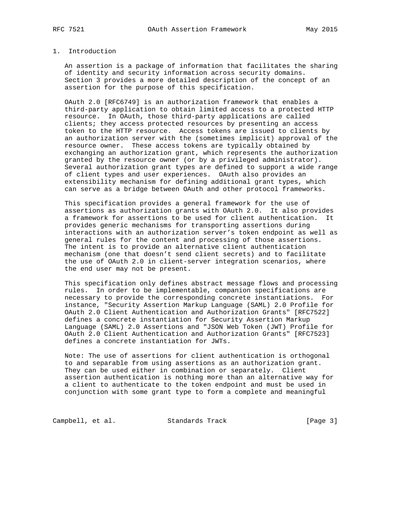## 1. Introduction

 An assertion is a package of information that facilitates the sharing of identity and security information across security domains. Section 3 provides a more detailed description of the concept of an assertion for the purpose of this specification.

 OAuth 2.0 [RFC6749] is an authorization framework that enables a third-party application to obtain limited access to a protected HTTP resource. In OAuth, those third-party applications are called clients; they access protected resources by presenting an access token to the HTTP resource. Access tokens are issued to clients by an authorization server with the (sometimes implicit) approval of the resource owner. These access tokens are typically obtained by exchanging an authorization grant, which represents the authorization granted by the resource owner (or by a privileged administrator). Several authorization grant types are defined to support a wide range of client types and user experiences. OAuth also provides an extensibility mechanism for defining additional grant types, which can serve as a bridge between OAuth and other protocol frameworks.

 This specification provides a general framework for the use of assertions as authorization grants with OAuth 2.0. It also provides a framework for assertions to be used for client authentication. It provides generic mechanisms for transporting assertions during interactions with an authorization server's token endpoint as well as general rules for the content and processing of those assertions. The intent is to provide an alternative client authentication mechanism (one that doesn't send client secrets) and to facilitate the use of OAuth 2.0 in client-server integration scenarios, where the end user may not be present.

 This specification only defines abstract message flows and processing rules. In order to be implementable, companion specifications are necessary to provide the corresponding concrete instantiations. For instance, "Security Assertion Markup Language (SAML) 2.0 Profile for OAuth 2.0 Client Authentication and Authorization Grants" [RFC7522] defines a concrete instantiation for Security Assertion Markup Language (SAML) 2.0 Assertions and "JSON Web Token (JWT) Profile for OAuth 2.0 Client Authentication and Authorization Grants" [RFC7523] defines a concrete instantiation for JWTs.

 Note: The use of assertions for client authentication is orthogonal to and separable from using assertions as an authorization grant. They can be used either in combination or separately. Client assertion authentication is nothing more than an alternative way for a client to authenticate to the token endpoint and must be used in conjunction with some grant type to form a complete and meaningful

Campbell, et al. Standards Track [Page 3]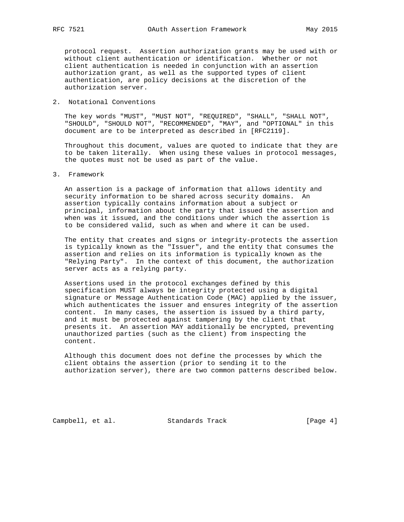protocol request. Assertion authorization grants may be used with or without client authentication or identification. Whether or not client authentication is needed in conjunction with an assertion authorization grant, as well as the supported types of client authentication, are policy decisions at the discretion of the authorization server.

## 2. Notational Conventions

 The key words "MUST", "MUST NOT", "REQUIRED", "SHALL", "SHALL NOT", "SHOULD", "SHOULD NOT", "RECOMMENDED", "MAY", and "OPTIONAL" in this document are to be interpreted as described in [RFC2119].

 Throughout this document, values are quoted to indicate that they are to be taken literally. When using these values in protocol messages, the quotes must not be used as part of the value.

## 3. Framework

 An assertion is a package of information that allows identity and security information to be shared across security domains. An assertion typically contains information about a subject or principal, information about the party that issued the assertion and when was it issued, and the conditions under which the assertion is to be considered valid, such as when and where it can be used.

 The entity that creates and signs or integrity-protects the assertion is typically known as the "Issuer", and the entity that consumes the assertion and relies on its information is typically known as the "Relying Party". In the context of this document, the authorization server acts as a relying party.

 Assertions used in the protocol exchanges defined by this specification MUST always be integrity protected using a digital signature or Message Authentication Code (MAC) applied by the issuer, which authenticates the issuer and ensures integrity of the assertion content. In many cases, the assertion is issued by a third party, and it must be protected against tampering by the client that presents it. An assertion MAY additionally be encrypted, preventing unauthorized parties (such as the client) from inspecting the content.

 Although this document does not define the processes by which the client obtains the assertion (prior to sending it to the authorization server), there are two common patterns described below.

Campbell, et al. Standards Track [Page 4]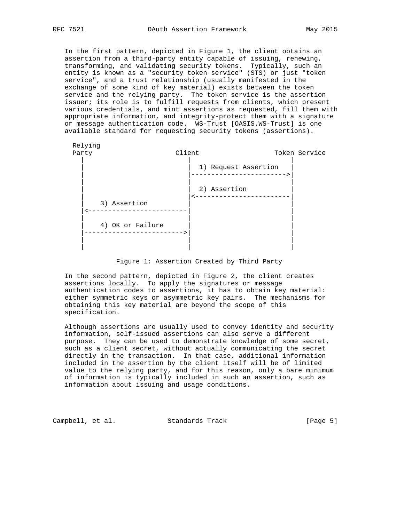In the first pattern, depicted in Figure 1, the client obtains an assertion from a third-party entity capable of issuing, renewing, transforming, and validating security tokens. Typically, such an entity is known as a "security token service" (STS) or just "token service", and a trust relationship (usually manifested in the exchange of some kind of key material) exists between the token service and the relying party. The token service is the assertion issuer; its role is to fulfill requests from clients, which present various credentials, and mint assertions as requested, fill them with appropriate information, and integrity-protect them with a signature or message authentication code. WS-Trust [OASIS.WS-Trust] is one available standard for requesting security tokens (assertions).



Figure 1: Assertion Created by Third Party

 In the second pattern, depicted in Figure 2, the client creates assertions locally. To apply the signatures or message authentication codes to assertions, it has to obtain key material: either symmetric keys or asymmetric key pairs. The mechanisms for obtaining this key material are beyond the scope of this specification.

 Although assertions are usually used to convey identity and security information, self-issued assertions can also serve a different purpose. They can be used to demonstrate knowledge of some secret, such as a client secret, without actually communicating the secret directly in the transaction. In that case, additional information included in the assertion by the client itself will be of limited value to the relying party, and for this reason, only a bare minimum of information is typically included in such an assertion, such as information about issuing and usage conditions.

Campbell, et al. Standards Track [Page 5]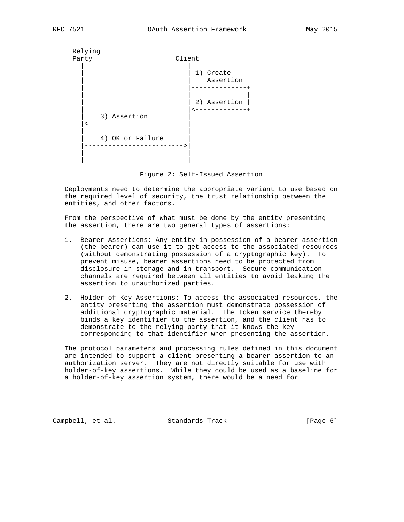

Figure 2: Self-Issued Assertion

 Deployments need to determine the appropriate variant to use based on the required level of security, the trust relationship between the entities, and other factors.

 From the perspective of what must be done by the entity presenting the assertion, there are two general types of assertions:

- 1. Bearer Assertions: Any entity in possession of a bearer assertion (the bearer) can use it to get access to the associated resources (without demonstrating possession of a cryptographic key). To prevent misuse, bearer assertions need to be protected from disclosure in storage and in transport. Secure communication channels are required between all entities to avoid leaking the assertion to unauthorized parties.
- 2. Holder-of-Key Assertions: To access the associated resources, the entity presenting the assertion must demonstrate possession of additional cryptographic material. The token service thereby binds a key identifier to the assertion, and the client has to demonstrate to the relying party that it knows the key corresponding to that identifier when presenting the assertion.

 The protocol parameters and processing rules defined in this document are intended to support a client presenting a bearer assertion to an authorization server. They are not directly suitable for use with holder-of-key assertions. While they could be used as a baseline for a holder-of-key assertion system, there would be a need for

Campbell, et al. Standards Track [Page 6]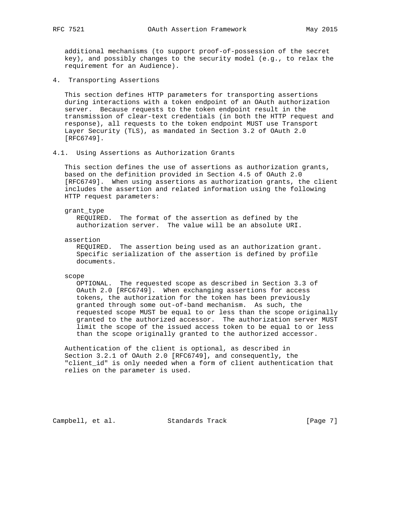additional mechanisms (to support proof-of-possession of the secret key), and possibly changes to the security model (e.g., to relax the requirement for an Audience).

4. Transporting Assertions

 This section defines HTTP parameters for transporting assertions during interactions with a token endpoint of an OAuth authorization server. Because requests to the token endpoint result in the transmission of clear-text credentials (in both the HTTP request and response), all requests to the token endpoint MUST use Transport Layer Security (TLS), as mandated in Section 3.2 of OAuth 2.0 [RFC6749].

4.1. Using Assertions as Authorization Grants

 This section defines the use of assertions as authorization grants, based on the definition provided in Section 4.5 of OAuth 2.0 [RFC6749]. When using assertions as authorization grants, the client includes the assertion and related information using the following HTTP request parameters:

#### grant\_type

 REQUIRED. The format of the assertion as defined by the authorization server. The value will be an absolute URI.

assertion

 REQUIRED. The assertion being used as an authorization grant. Specific serialization of the assertion is defined by profile documents.

scope

 OPTIONAL. The requested scope as described in Section 3.3 of OAuth 2.0 [RFC6749]. When exchanging assertions for access tokens, the authorization for the token has been previously granted through some out-of-band mechanism. As such, the requested scope MUST be equal to or less than the scope originally granted to the authorized accessor. The authorization server MUST limit the scope of the issued access token to be equal to or less than the scope originally granted to the authorized accessor.

 Authentication of the client is optional, as described in Section 3.2.1 of OAuth 2.0 [RFC6749], and consequently, the "client\_id" is only needed when a form of client authentication that relies on the parameter is used.

Campbell, et al. Standards Track [Page 7]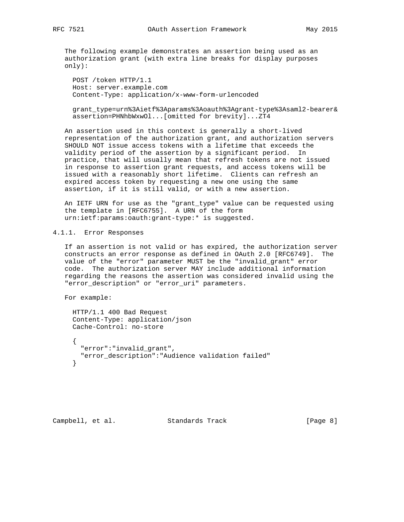The following example demonstrates an assertion being used as an authorization grant (with extra line breaks for display purposes only):

 POST /token HTTP/1.1 Host: server.example.com Content-Type: application/x-www-form-urlencoded

 grant\_type=urn%3Aietf%3Aparams%3Aoauth%3Agrant-type%3Asaml2-bearer& assertion=PHNhbWxwOl...[omitted for brevity]...ZT4

 An assertion used in this context is generally a short-lived representation of the authorization grant, and authorization servers SHOULD NOT issue access tokens with a lifetime that exceeds the validity period of the assertion by a significant period. In practice, that will usually mean that refresh tokens are not issued in response to assertion grant requests, and access tokens will be issued with a reasonably short lifetime. Clients can refresh an expired access token by requesting a new one using the same assertion, if it is still valid, or with a new assertion.

 An IETF URN for use as the "grant\_type" value can be requested using the template in [RFC6755]. A URN of the form urn:ietf:params:oauth:grant-type:\* is suggested.

## 4.1.1. Error Responses

 If an assertion is not valid or has expired, the authorization server constructs an error response as defined in OAuth 2.0 [RFC6749]. The value of the "error" parameter MUST be the "invalid\_grant" error code. The authorization server MAY include additional information regarding the reasons the assertion was considered invalid using the "error\_description" or "error\_uri" parameters.

For example:

 HTTP/1.1 400 Bad Request Content-Type: application/json Cache-Control: no-store { "error":"invalid\_grant", "error\_description":"Audience validation failed" }

Campbell, et al. Standards Track [Page 8]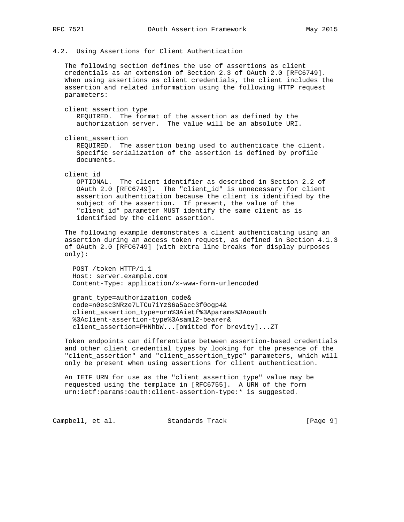## 4.2. Using Assertions for Client Authentication

 The following section defines the use of assertions as client credentials as an extension of Section 2.3 of OAuth 2.0 [RFC6749]. When using assertions as client credentials, the client includes the assertion and related information using the following HTTP request parameters:

client\_assertion\_type

 REQUIRED. The format of the assertion as defined by the authorization server. The value will be an absolute URI.

client\_assertion

 REQUIRED. The assertion being used to authenticate the client. Specific serialization of the assertion is defined by profile documents.

client\_id

 OPTIONAL. The client identifier as described in Section 2.2 of OAuth 2.0 [RFC6749]. The "client\_id" is unnecessary for client assertion authentication because the client is identified by the subject of the assertion. If present, the value of the "client\_id" parameter MUST identify the same client as is identified by the client assertion.

 The following example demonstrates a client authenticating using an assertion during an access token request, as defined in Section 4.1.3 of OAuth 2.0 [RFC6749] (with extra line breaks for display purposes only):

 POST /token HTTP/1.1 Host: server.example.com Content-Type: application/x-www-form-urlencoded

 grant\_type=authorization\_code& code=n0esc3NRze7LTCu7iYzS6a5acc3f0ogp4& client\_assertion\_type=urn%3Aietf%3Aparams%3Aoauth %3Aclient-assertion-type%3Asaml2-bearer& client\_assertion=PHNhbW...[omitted for brevity]...ZT

 Token endpoints can differentiate between assertion-based credentials and other client credential types by looking for the presence of the "client\_assertion" and "client\_assertion\_type" parameters, which will only be present when using assertions for client authentication.

 An IETF URN for use as the "client\_assertion\_type" value may be requested using the template in [RFC6755]. A URN of the form urn:ietf:params:oauth:client-assertion-type:\* is suggested.

Campbell, et al. Standards Track [Page 9]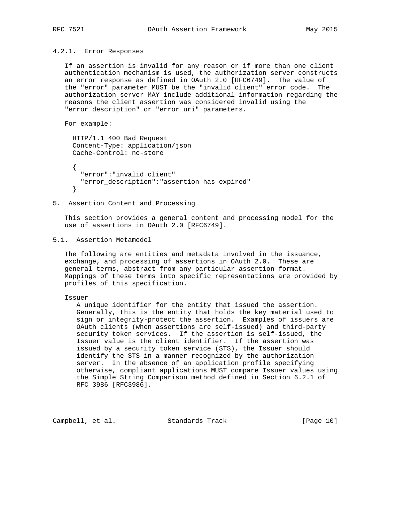## 4.2.1. Error Responses

 If an assertion is invalid for any reason or if more than one client authentication mechanism is used, the authorization server constructs an error response as defined in OAuth 2.0 [RFC6749]. The value of the "error" parameter MUST be the "invalid\_client" error code. The authorization server MAY include additional information regarding the reasons the client assertion was considered invalid using the "error\_description" or "error\_uri" parameters.

```
 For example:
```

```
 HTTP/1.1 400 Bad Request
     Content-Type: application/json
     Cache-Control: no-store
\{ "error":"invalid_client"
       "error_description":"assertion has expired"
     }
```
5. Assertion Content and Processing

 This section provides a general content and processing model for the use of assertions in OAuth 2.0 [RFC6749].

5.1. Assertion Metamodel

 The following are entities and metadata involved in the issuance, exchange, and processing of assertions in OAuth 2.0. These are general terms, abstract from any particular assertion format. Mappings of these terms into specific representations are provided by profiles of this specification.

## Issuer

 A unique identifier for the entity that issued the assertion. Generally, this is the entity that holds the key material used to sign or integrity-protect the assertion. Examples of issuers are OAuth clients (when assertions are self-issued) and third-party security token services. If the assertion is self-issued, the Issuer value is the client identifier. If the assertion was issued by a security token service (STS), the Issuer should identify the STS in a manner recognized by the authorization server. In the absence of an application profile specifying otherwise, compliant applications MUST compare Issuer values using the Simple String Comparison method defined in Section 6.2.1 of RFC 3986 [RFC3986].

Campbell, et al. Standards Track [Page 10]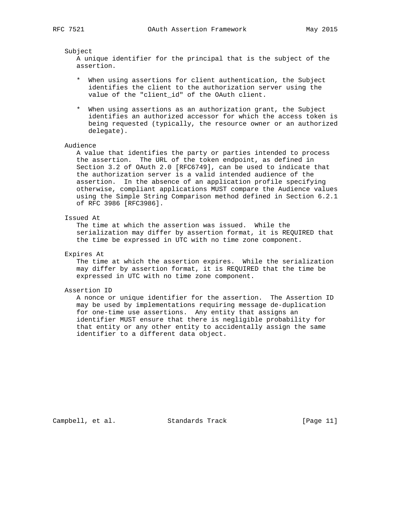### Subject

 A unique identifier for the principal that is the subject of the assertion.

- \* When using assertions for client authentication, the Subject identifies the client to the authorization server using the value of the "client\_id" of the OAuth client.
- \* When using assertions as an authorization grant, the Subject identifies an authorized accessor for which the access token is being requested (typically, the resource owner or an authorized delegate).

#### Audience

 A value that identifies the party or parties intended to process the assertion. The URL of the token endpoint, as defined in Section 3.2 of OAuth 2.0 [RFC6749], can be used to indicate that the authorization server is a valid intended audience of the assertion. In the absence of an application profile specifying otherwise, compliant applications MUST compare the Audience values using the Simple String Comparison method defined in Section 6.2.1 of RFC 3986 [RFC3986].

### Issued At

 The time at which the assertion was issued. While the serialization may differ by assertion format, it is REQUIRED that the time be expressed in UTC with no time zone component.

## Expires At

 The time at which the assertion expires. While the serialization may differ by assertion format, it is REQUIRED that the time be expressed in UTC with no time zone component.

#### Assertion ID

 A nonce or unique identifier for the assertion. The Assertion ID may be used by implementations requiring message de-duplication for one-time use assertions. Any entity that assigns an identifier MUST ensure that there is negligible probability for that entity or any other entity to accidentally assign the same identifier to a different data object.

Campbell, et al. Standards Track [Page 11]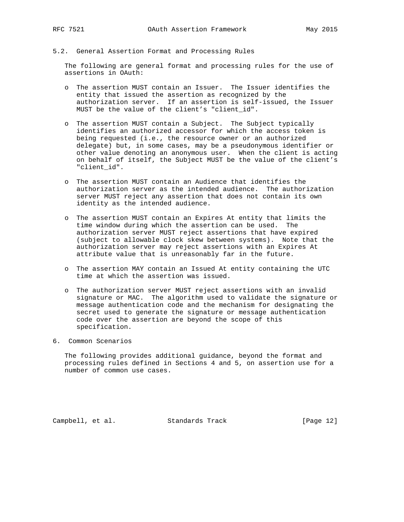- 
- 5.2. General Assertion Format and Processing Rules

 The following are general format and processing rules for the use of assertions in OAuth:

- o The assertion MUST contain an Issuer. The Issuer identifies the entity that issued the assertion as recognized by the authorization server. If an assertion is self-issued, the Issuer MUST be the value of the client's "client\_id".
- o The assertion MUST contain a Subject. The Subject typically identifies an authorized accessor for which the access token is being requested (i.e., the resource owner or an authorized delegate) but, in some cases, may be a pseudonymous identifier or other value denoting an anonymous user. When the client is acting on behalf of itself, the Subject MUST be the value of the client's "client\_id".
- o The assertion MUST contain an Audience that identifies the authorization server as the intended audience. The authorization server MUST reject any assertion that does not contain its own identity as the intended audience.
- o The assertion MUST contain an Expires At entity that limits the time window during which the assertion can be used. The authorization server MUST reject assertions that have expired (subject to allowable clock skew between systems). Note that the authorization server may reject assertions with an Expires At attribute value that is unreasonably far in the future.
- o The assertion MAY contain an Issued At entity containing the UTC time at which the assertion was issued.
- o The authorization server MUST reject assertions with an invalid signature or MAC. The algorithm used to validate the signature or message authentication code and the mechanism for designating the secret used to generate the signature or message authentication code over the assertion are beyond the scope of this specification.
- 6. Common Scenarios

 The following provides additional guidance, beyond the format and processing rules defined in Sections 4 and 5, on assertion use for a number of common use cases.

Campbell, et al. Standards Track [Page 12]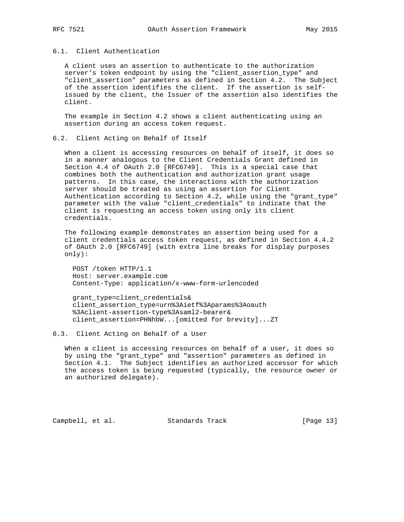## 6.1. Client Authentication

 A client uses an assertion to authenticate to the authorization server's token endpoint by using the "client\_assertion\_type" and "client\_assertion" parameters as defined in Section 4.2. The Subject of the assertion identifies the client. If the assertion is self issued by the client, the Issuer of the assertion also identifies the client.

 The example in Section 4.2 shows a client authenticating using an assertion during an access token request.

## 6.2. Client Acting on Behalf of Itself

 When a client is accessing resources on behalf of itself, it does so in a manner analogous to the Client Credentials Grant defined in Section 4.4 of OAuth 2.0 [RFC6749]. This is a special case that combines both the authentication and authorization grant usage patterns. In this case, the interactions with the authorization server should be treated as using an assertion for Client Authentication according to Section 4.2, while using the "grant\_type" parameter with the value "client\_credentials" to indicate that the client is requesting an access token using only its client credentials.

 The following example demonstrates an assertion being used for a client credentials access token request, as defined in Section 4.4.2 of OAuth 2.0 [RFC6749] (with extra line breaks for display purposes only):

 POST /token HTTP/1.1 Host: server.example.com Content-Type: application/x-www-form-urlencoded

 grant\_type=client\_credentials& client\_assertion\_type=urn%3Aietf%3Aparams%3Aoauth %3Aclient-assertion-type%3Asaml2-bearer& client\_assertion=PHNhbW...[omitted for brevity]...ZT

### 6.3. Client Acting on Behalf of a User

 When a client is accessing resources on behalf of a user, it does so by using the "grant\_type" and "assertion" parameters as defined in Section 4.1. The Subject identifies an authorized accessor for which the access token is being requested (typically, the resource owner or an authorized delegate).

Campbell, et al. Standards Track [Page 13]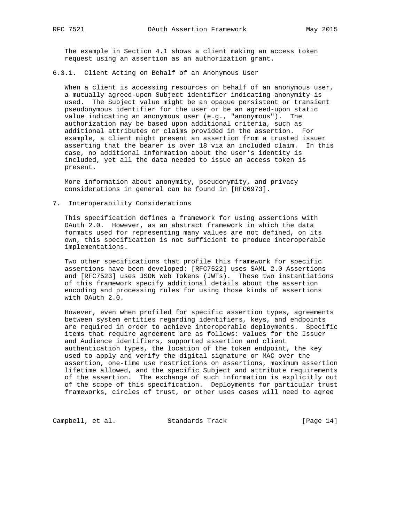The example in Section 4.1 shows a client making an access token request using an assertion as an authorization grant.

6.3.1. Client Acting on Behalf of an Anonymous User

When a client is accessing resources on behalf of an anonymous user, a mutually agreed-upon Subject identifier indicating anonymity is used. The Subject value might be an opaque persistent or transient pseudonymous identifier for the user or be an agreed-upon static value indicating an anonymous user (e.g., "anonymous"). The authorization may be based upon additional criteria, such as additional attributes or claims provided in the assertion. For example, a client might present an assertion from a trusted issuer asserting that the bearer is over 18 via an included claim. In this case, no additional information about the user's identity is included, yet all the data needed to issue an access token is present.

 More information about anonymity, pseudonymity, and privacy considerations in general can be found in [RFC6973].

7. Interoperability Considerations

 This specification defines a framework for using assertions with OAuth 2.0. However, as an abstract framework in which the data formats used for representing many values are not defined, on its own, this specification is not sufficient to produce interoperable implementations.

 Two other specifications that profile this framework for specific assertions have been developed: [RFC7522] uses SAML 2.0 Assertions and [RFC7523] uses JSON Web Tokens (JWTs). These two instantiations of this framework specify additional details about the assertion encoding and processing rules for using those kinds of assertions with OAuth 2.0.

 However, even when profiled for specific assertion types, agreements between system entities regarding identifiers, keys, and endpoints are required in order to achieve interoperable deployments. Specific items that require agreement are as follows: values for the Issuer and Audience identifiers, supported assertion and client authentication types, the location of the token endpoint, the key used to apply and verify the digital signature or MAC over the assertion, one-time use restrictions on assertions, maximum assertion lifetime allowed, and the specific Subject and attribute requirements of the assertion. The exchange of such information is explicitly out of the scope of this specification. Deployments for particular trust frameworks, circles of trust, or other uses cases will need to agree

Campbell, et al. Standards Track [Page 14]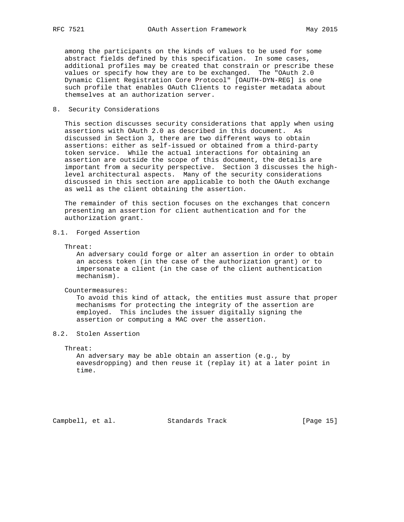among the participants on the kinds of values to be used for some abstract fields defined by this specification. In some cases, additional profiles may be created that constrain or prescribe these values or specify how they are to be exchanged. The "OAuth 2.0 Dynamic Client Registration Core Protocol" [OAUTH-DYN-REG] is one such profile that enables OAuth Clients to register metadata about themselves at an authorization server.

## 8. Security Considerations

 This section discusses security considerations that apply when using assertions with OAuth 2.0 as described in this document. As discussed in Section 3, there are two different ways to obtain assertions: either as self-issued or obtained from a third-party token service. While the actual interactions for obtaining an assertion are outside the scope of this document, the details are important from a security perspective. Section 3 discusses the high level architectural aspects. Many of the security considerations discussed in this section are applicable to both the OAuth exchange as well as the client obtaining the assertion.

 The remainder of this section focuses on the exchanges that concern presenting an assertion for client authentication and for the authorization grant.

# 8.1. Forged Assertion

Threat:

 An adversary could forge or alter an assertion in order to obtain an access token (in the case of the authorization grant) or to impersonate a client (in the case of the client authentication mechanism).

Countermeasures:

 To avoid this kind of attack, the entities must assure that proper mechanisms for protecting the integrity of the assertion are employed. This includes the issuer digitally signing the assertion or computing a MAC over the assertion.

## 8.2. Stolen Assertion

Threat:

 An adversary may be able obtain an assertion (e.g., by eavesdropping) and then reuse it (replay it) at a later point in time.

Campbell, et al. Standards Track [Page 15]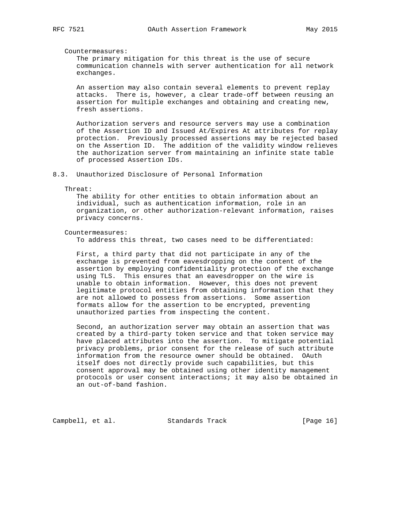#### Countermeasures:

 The primary mitigation for this threat is the use of secure communication channels with server authentication for all network exchanges.

 An assertion may also contain several elements to prevent replay attacks. There is, however, a clear trade-off between reusing an assertion for multiple exchanges and obtaining and creating new, fresh assertions.

 Authorization servers and resource servers may use a combination of the Assertion ID and Issued At/Expires At attributes for replay protection. Previously processed assertions may be rejected based on the Assertion ID. The addition of the validity window relieves the authorization server from maintaining an infinite state table of processed Assertion IDs.

#### 8.3. Unauthorized Disclosure of Personal Information

#### Threat:

 The ability for other entities to obtain information about an individual, such as authentication information, role in an organization, or other authorization-relevant information, raises privacy concerns.

#### Countermeasures:

To address this threat, two cases need to be differentiated:

 First, a third party that did not participate in any of the exchange is prevented from eavesdropping on the content of the assertion by employing confidentiality protection of the exchange using TLS. This ensures that an eavesdropper on the wire is unable to obtain information. However, this does not prevent legitimate protocol entities from obtaining information that they are not allowed to possess from assertions. Some assertion formats allow for the assertion to be encrypted, preventing unauthorized parties from inspecting the content.

 Second, an authorization server may obtain an assertion that was created by a third-party token service and that token service may have placed attributes into the assertion. To mitigate potential privacy problems, prior consent for the release of such attribute information from the resource owner should be obtained. OAuth itself does not directly provide such capabilities, but this consent approval may be obtained using other identity management protocols or user consent interactions; it may also be obtained in an out-of-band fashion.

Campbell, et al. Standards Track [Page 16]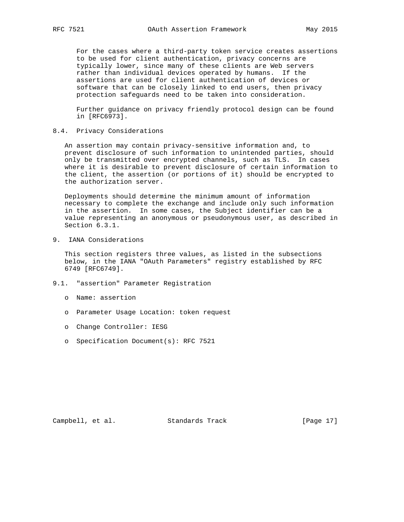For the cases where a third-party token service creates assertions to be used for client authentication, privacy concerns are typically lower, since many of these clients are Web servers rather than individual devices operated by humans. If the assertions are used for client authentication of devices or software that can be closely linked to end users, then privacy protection safeguards need to be taken into consideration.

 Further guidance on privacy friendly protocol design can be found in [RFC6973].

8.4. Privacy Considerations

 An assertion may contain privacy-sensitive information and, to prevent disclosure of such information to unintended parties, should only be transmitted over encrypted channels, such as TLS. In cases where it is desirable to prevent disclosure of certain information to the client, the assertion (or portions of it) should be encrypted to the authorization server.

 Deployments should determine the minimum amount of information necessary to complete the exchange and include only such information in the assertion. In some cases, the Subject identifier can be a value representing an anonymous or pseudonymous user, as described in Section 6.3.1.

9. IANA Considerations

 This section registers three values, as listed in the subsections below, in the IANA "OAuth Parameters" registry established by RFC 6749 [RFC6749].

- 9.1. "assertion" Parameter Registration
	- o Name: assertion
	- o Parameter Usage Location: token request
	- o Change Controller: IESG
	- o Specification Document(s): RFC 7521

Campbell, et al. Standards Track [Page 17]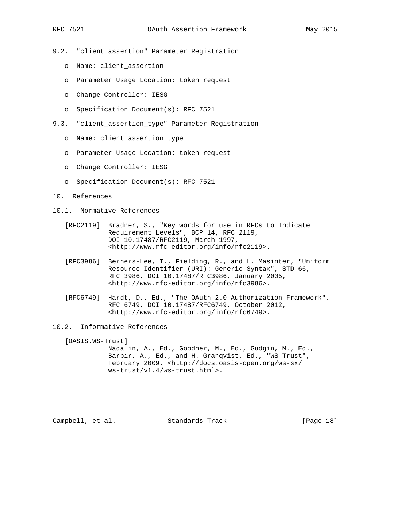- 9.2. "client\_assertion" Parameter Registration
	- o Name: client\_assertion
	- o Parameter Usage Location: token request
	- o Change Controller: IESG
	- o Specification Document(s): RFC 7521
- 9.3. "client\_assertion\_type" Parameter Registration
	- o Name: client\_assertion\_type
	- o Parameter Usage Location: token request
	- o Change Controller: IESG
	- o Specification Document(s): RFC 7521
- 10. References
- 10.1. Normative References
	- [RFC2119] Bradner, S., "Key words for use in RFCs to Indicate Requirement Levels", BCP 14, RFC 2119, DOI 10.17487/RFC2119, March 1997, <http://www.rfc-editor.org/info/rfc2119>.
	- [RFC3986] Berners-Lee, T., Fielding, R., and L. Masinter, "Uniform Resource Identifier (URI): Generic Syntax", STD 66, RFC 3986, DOI 10.17487/RFC3986, January 2005, <http://www.rfc-editor.org/info/rfc3986>.
	- [RFC6749] Hardt, D., Ed., "The OAuth 2.0 Authorization Framework", RFC 6749, DOI 10.17487/RFC6749, October 2012, <http://www.rfc-editor.org/info/rfc6749>.
- 10.2. Informative References

[OASIS.WS-Trust]

 Nadalin, A., Ed., Goodner, M., Ed., Gudgin, M., Ed., Barbir, A., Ed., and H. Granqvist, Ed., "WS-Trust", February 2009, <http://docs.oasis-open.org/ws-sx/ ws-trust/v1.4/ws-trust.html>.

Campbell, et al. Standards Track [Page 18]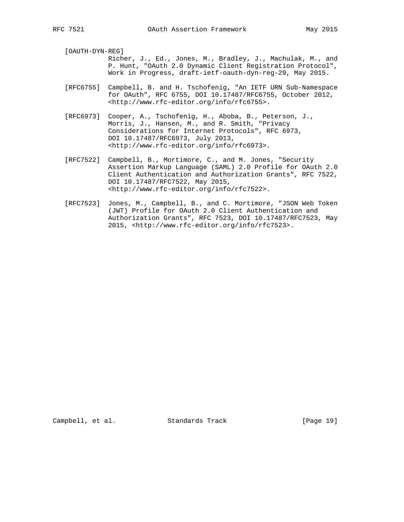[OAUTH-DYN-REG]

- Richer, J., Ed., Jones, M., Bradley, J., Machulak, M., and P. Hunt, "OAuth 2.0 Dynamic Client Registration Protocol", Work in Progress, draft-ietf-oauth-dyn-reg-29, May 2015.
- [RFC6755] Campbell, B. and H. Tschofenig, "An IETF URN Sub-Namespace for OAuth", RFC 6755, DOI 10.17487/RFC6755, October 2012, <http://www.rfc-editor.org/info/rfc6755>.
- [RFC6973] Cooper, A., Tschofenig, H., Aboba, B., Peterson, J., Morris, J., Hansen, M., and R. Smith, "Privacy Considerations for Internet Protocols", RFC 6973, DOI 10.17487/RFC6973, July 2013, <http://www.rfc-editor.org/info/rfc6973>.
- [RFC7522] Campbell, B., Mortimore, C., and M. Jones, "Security Assertion Markup Language (SAML) 2.0 Profile for OAuth 2.0 Client Authentication and Authorization Grants", RFC 7522, DOI 10.17487/RFC7522, May 2015, <http://www.rfc-editor.org/info/rfc7522>.
- [RFC7523] Jones, M., Campbell, B., and C. Mortimore, "JSON Web Token (JWT) Profile for OAuth 2.0 Client Authentication and Authorization Grants", RFC 7523, DOI 10.17487/RFC7523, May 2015, <http://www.rfc-editor.org/info/rfc7523>.

Campbell, et al. Standards Track [Page 19]